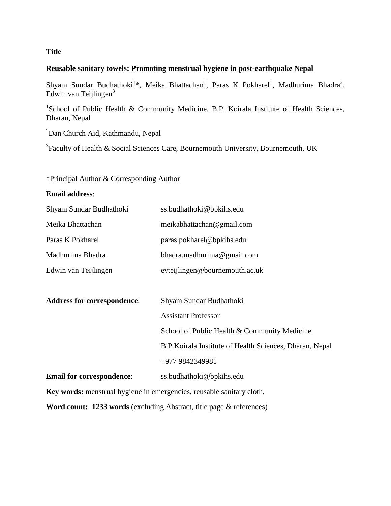# **Title**

# **Reusable sanitary towels: Promoting menstrual hygiene in post-earthquake Nepal**

Shyam Sundar Budhathoki<sup>1</sup>\*, Meika Bhattachan<sup>1</sup>, Paras K Pokharel<sup>1</sup>, Madhurima Bhadra<sup>2</sup>, Edwin van Teijlingen<sup>3</sup>

<sup>1</sup>School of Public Health & Community Medicine, B.P. Koirala Institute of Health Sciences, Dharan, Nepal

<sup>2</sup>Dan Church Aid, Kathmandu, Nepal

 $3$ Faculty of Health & Social Sciences Care, Bournemouth University, Bournemouth, UK

# \*Principal Author & Corresponding Author

# **Email address**:

| Shyam Sundar Budhathoki                                               | ss.budhathoki@bpkihs.edu                                 |
|-----------------------------------------------------------------------|----------------------------------------------------------|
| Meika Bhattachan                                                      | meikabhattachan@gmail.com                                |
| Paras K Pokharel                                                      | paras.pokharel@bpkihs.edu                                |
| Madhurima Bhadra                                                      | bhadra.madhurima@gmail.com                               |
| Edwin van Teijlingen                                                  | evteijlingen@bournemouth.ac.uk                           |
|                                                                       |                                                          |
| <b>Address for correspondence:</b>                                    | Shyam Sundar Budhathoki                                  |
|                                                                       | <b>Assistant Professor</b>                               |
|                                                                       | School of Public Health & Community Medicine             |
|                                                                       | B.P. Koirala Institute of Health Sciences, Dharan, Nepal |
|                                                                       | +977 9842349981                                          |
| <b>Email for correspondence:</b>                                      | ss.budhathoki@bpkihs.edu                                 |
| Key words: menstrual hygiene in emergencies, reusable sanitary cloth, |                                                          |
| Word count: 1233 words (excluding Abstract, title page & references)  |                                                          |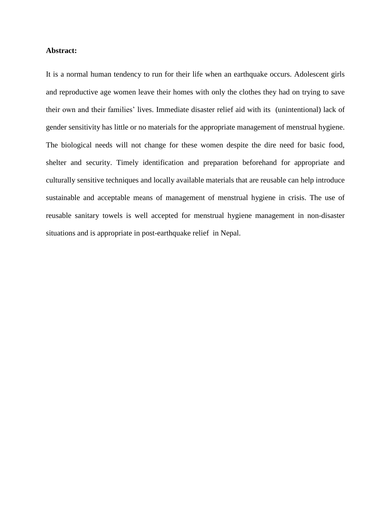## **Abstract:**

It is a normal human tendency to run for their life when an earthquake occurs. Adolescent girls and reproductive age women leave their homes with only the clothes they had on trying to save their own and their families' lives. Immediate disaster relief aid with its (unintentional) lack of gender sensitivity has little or no materials for the appropriate management of menstrual hygiene. The biological needs will not change for these women despite the dire need for basic food, shelter and security. Timely identification and preparation beforehand for appropriate and culturally sensitive techniques and locally available materials that are reusable can help introduce sustainable and acceptable means of management of menstrual hygiene in crisis. The use of reusable sanitary towels is well accepted for menstrual hygiene management in non-disaster situations and is appropriate in post-earthquake relief in Nepal.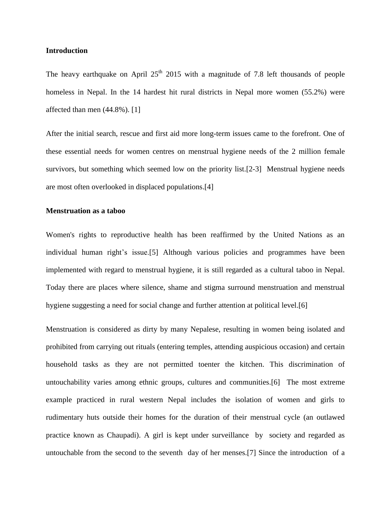## **Introduction**

The heavy earthquake on April  $25<sup>th</sup>$  2015 with a magnitude of 7.8 left thousands of people homeless in Nepal. In the 14 hardest hit rural districts in Nepal more women (55.2%) were affected than men (44.8%). [1]

After the initial search, rescue and first aid more long-term issues came to the forefront. One of these essential needs for women centres on menstrual hygiene needs of the 2 million female survivors, but something which seemed low on the priority list.[2-3] Menstrual hygiene needs are most often overlooked in displaced populations.[4]

## **Menstruation as a taboo**

Women's rights to reproductive health has been reaffirmed by the United Nations as an individual human right's issue.[5] Although various policies and programmes have been implemented with regard to menstrual hygiene, it is still regarded as a cultural taboo in Nepal. Today there are places where silence, shame and stigma surround menstruation and menstrual hygiene suggesting a need for social change and further attention at political level.[6]

Menstruation is considered as dirty by many Nepalese, resulting in women being isolated and prohibited from carrying out rituals (entering temples, attending auspicious occasion) and certain household tasks as they are not permitted toenter the kitchen. This discrimination of untouchability varies among ethnic groups, cultures and communities.[6] The most extreme example practiced in rural western Nepal includes the isolation of women and girls to rudimentary huts outside their homes for the duration of their menstrual cycle (an outlawed practice known as Chaupadi). A girl is kept under surveillance by society and regarded as untouchable from the second to the seventh day of her menses.[7] Since the introduction of a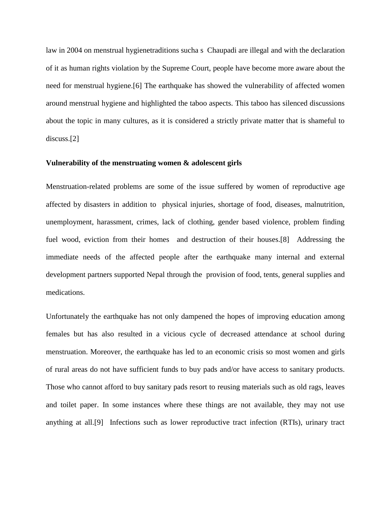law in 2004 on menstrual hygienetraditions sucha s Chaupadi are illegal and with the declaration of it as human rights violation by the Supreme Court, people have become more aware about the need for menstrual hygiene.[6] The earthquake has showed the vulnerability of affected women around menstrual hygiene and highlighted the taboo aspects. This taboo has silenced discussions about the topic in many cultures, as it is considered a strictly private matter that is shameful to discuss.[2]

## **Vulnerability of the menstruating women & adolescent girls**

Menstruation-related problems are some of the issue suffered by women of reproductive age affected by disasters in addition to physical injuries, shortage of food, diseases, malnutrition, unemployment, harassment, crimes, lack of clothing, gender based violence, problem finding fuel wood, eviction from their homes and destruction of their houses.[8] Addressing the immediate needs of the affected people after the earthquake many internal and external development partners supported Nepal through the provision of food, tents, general supplies and medications.

Unfortunately the earthquake has not only dampened the hopes of improving education among females but has also resulted in a vicious cycle of decreased attendance at school during menstruation. Moreover, the earthquake has led to an economic crisis so most women and girls of rural areas do not have sufficient funds to buy pads and/or have access to sanitary products. Those who cannot afford to buy sanitary pads resort to reusing materials such as old rags, leaves and toilet paper. In some instances where these things are not available, they may not use anything at all.[9] Infections such as lower reproductive tract infection (RTIs), urinary tract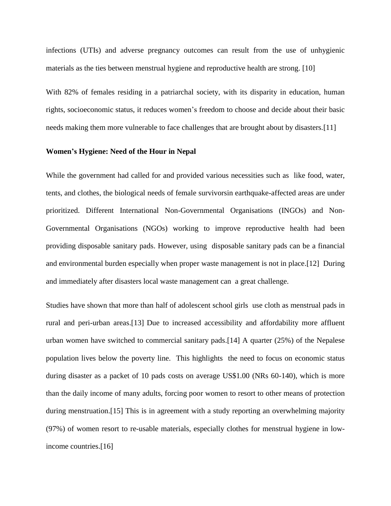infections (UTIs) and adverse pregnancy outcomes can result from the use of unhygienic materials as the ties between menstrual hygiene and reproductive health are strong. [10]

With 82% of females residing in a patriarchal society, with its disparity in education, human rights, socioeconomic status, it reduces women's freedom to choose and decide about their basic needs making them more vulnerable to face challenges that are brought about by disasters.[11]

#### **Women's Hygiene: Need of the Hour in Nepal**

While the government had called for and provided various necessities such as like food, water, tents, and clothes, the biological needs of female survivorsin earthquake-affected areas are under prioritized. Different International Non-Governmental Organisations (INGOs) and Non-Governmental Organisations (NGOs) working to improve reproductive health had been providing disposable sanitary pads. However, using disposable sanitary pads can be a financial and environmental burden especially when proper waste management is not in place.[12] During and immediately after disasters local waste management can a great challenge.

Studies have shown that more than half of adolescent school girls use cloth as menstrual pads in rural and peri-urban areas.[13] Due to increased accessibility and affordability more affluent urban women have switched to commercial sanitary pads.[14] A quarter (25%) of the Nepalese population lives below the poverty line. This highlights the need to focus on economic status during disaster as a packet of 10 pads costs on average US\$1.00 (NRs 60-140), which is more than the daily income of many adults, forcing poor women to resort to other means of protection during menstruation.[15] This is in agreement with a study reporting an overwhelming majority (97%) of women resort to re-usable materials, especially clothes for menstrual hygiene in lowincome countries.[16]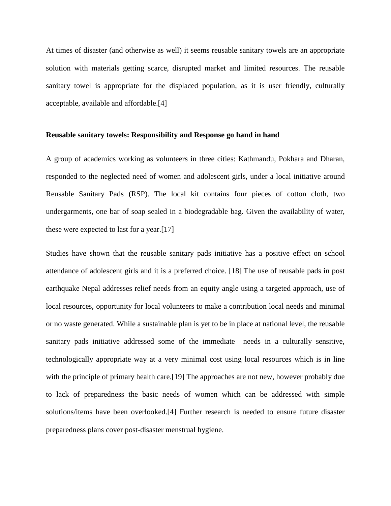At times of disaster (and otherwise as well) it seems reusable sanitary towels are an appropriate solution with materials getting scarce, disrupted market and limited resources. The reusable sanitary towel is appropriate for the displaced population, as it is user friendly, culturally acceptable, available and affordable.[4]

#### **Reusable sanitary towels: Responsibility and Response go hand in hand**

A group of academics working as volunteers in three cities: Kathmandu, Pokhara and Dharan, responded to the neglected need of women and adolescent girls, under a local initiative around Reusable Sanitary Pads (RSP). The local kit contains four pieces of cotton cloth, two undergarments, one bar of soap sealed in a biodegradable bag. Given the availability of water, these were expected to last for a year.[17]

Studies have shown that the reusable sanitary pads initiative has a positive effect on school attendance of adolescent girls and it is a preferred choice. [18] The use of reusable pads in post earthquake Nepal addresses relief needs from an equity angle using a targeted approach, use of local resources, opportunity for local volunteers to make a contribution local needs and minimal or no waste generated. While a sustainable plan is yet to be in place at national level, the reusable sanitary pads initiative addressed some of the immediate needs in a culturally sensitive, technologically appropriate way at a very minimal cost using local resources which is in line with the principle of primary health care.[19] The approaches are not new, however probably due to lack of preparedness the basic needs of women which can be addressed with simple solutions/items have been overlooked.[4] Further research is needed to ensure future disaster preparedness plans cover post-disaster menstrual hygiene.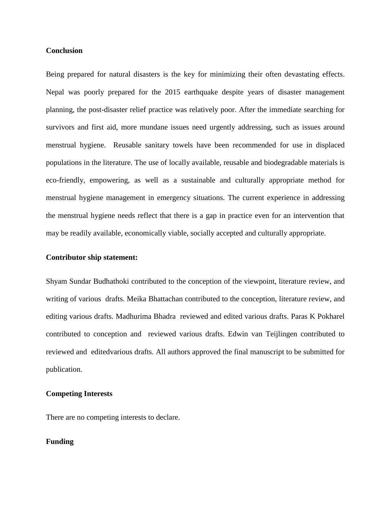## **Conclusion**

Being prepared for natural disasters is the key for minimizing their often devastating effects. Nepal was poorly prepared for the 2015 earthquake despite years of disaster management planning, the post-disaster relief practice was relatively poor. After the immediate searching for survivors and first aid, more mundane issues need urgently addressing, such as issues around menstrual hygiene. Reusable sanitary towels have been recommended for use in displaced populations in the literature. The use of locally available, reusable and biodegradable materials is eco-friendly, empowering, as well as a sustainable and culturally appropriate method for menstrual hygiene management in emergency situations. The current experience in addressing the menstrual hygiene needs reflect that there is a gap in practice even for an intervention that may be readily available, economically viable, socially accepted and culturally appropriate.

#### **Contributor ship statement:**

Shyam Sundar Budhathoki contributed to the conception of the viewpoint, literature review, and writing of various drafts. Meika Bhattachan contributed to the conception, literature review, and editing various drafts. Madhurima Bhadra reviewed and edited various drafts. Paras K Pokharel contributed to conception and reviewed various drafts. Edwin van Teijlingen contributed to reviewed and editedvarious drafts. All authors approved the final manuscript to be submitted for publication.

# **Competing Interests**

There are no competing interests to declare.

## **Funding**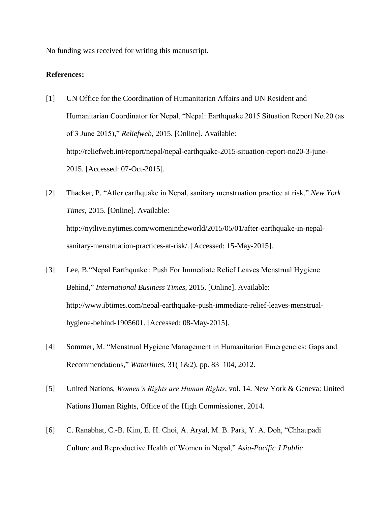No funding was received for writing this manuscript.

### **References:**

- [1] UN Office for the Coordination of Humanitarian Affairs and UN Resident and Humanitarian Coordinator for Nepal, "Nepal: Earthquake 2015 Situation Report No.20 (as of 3 June 2015)," *Reliefweb*, 2015. [Online]. Available: http://reliefweb.int/report/nepal/nepal-earthquake-2015-situation-report-no20-3-june-2015. [Accessed: 07-Oct-2015].
- [2] Thacker, P. "After earthquake in Nepal, sanitary menstruation practice at risk," *New York Times*, 2015. [Online]. Available: http://nytlive.nytimes.com/womenintheworld/2015/05/01/after-earthquake-in-nepalsanitary-menstruation-practices-at-risk/. [Accessed: 15-May-2015].
- [3] Lee, B."Nepal Earthquake : Push For Immediate Relief Leaves Menstrual Hygiene Behind," *International Business Times*, 2015. [Online]. Available: http://www.ibtimes.com/nepal-earthquake-push-immediate-relief-leaves-menstrualhygiene-behind-1905601. [Accessed: 08-May-2015].
- [4] Sommer, M. "Menstrual Hygiene Management in Humanitarian Emergencies: Gaps and Recommendations," *Waterlines*, 31( 1&2), pp. 83–104, 2012.
- [5] United Nations, *Women's Rights are Human Rights*, vol. 14. New York & Geneva: United Nations Human Rights, Office of the High Commissioner, 2014.
- [6] C. Ranabhat, C.-B. Kim, E. H. Choi, A. Aryal, M. B. Park, Y. A. Doh, "Chhaupadi Culture and Reproductive Health of Women in Nepal," *Asia-Pacific J Public*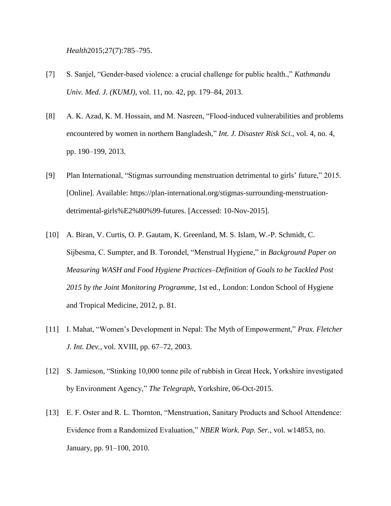*Health*2015;27(7):785–795.

- [7] S. Sanjel, "Gender-based violence: a crucial challenge for public health.," *Kathmandu Univ. Med. J. (KUMJ)*, vol. 11, no. 42, pp. 179–84, 2013.
- [8] A. K. Azad, K. M. Hossain, and M. Nasreen, "Flood-induced vulnerabilities and problems encountered by women in northern Bangladesh," *Int. J. Disaster Risk Sci.*, vol. 4, no. 4, pp. 190–199, 2013.
- [9] Plan International, "Stigmas surrounding menstruation detrimental to girls' future," 2015. [Online]. Available: https://plan-international.org/stigmas-surrounding-menstruationdetrimental-girls%E2%80%99-futures. [Accessed: 10-Nov-2015].
- [10] A. Biran, V. Curtis, O. P. Gautam, K. Greenland, M. S. Islam, W.-P. Schmidt, C. Sijbesma, C. Sumpter, and B. Torondel, "Menstrual Hygiene," in *Background Paper on Measuring WASH and Food Hygiene Practices–Definition of Goals to be Tackled Post 2015 by the Joint Monitoring Programme*, 1st ed., London: London School of Hygiene and Tropical Medicine, 2012, p. 81.
- [11] I. Mahat, "Women's Development in Nepal: The Myth of Empowerment," *Prax. Fletcher J. Int. Dev.*, vol. XVIII, pp. 67–72, 2003.
- [12] S. Jamieson, "Stinking 10,000 tonne pile of rubbish in Great Heck, Yorkshire investigated by Environment Agency," *The Telegraph*, Yorkshire, 06-Oct-2015.
- [13] E. F. Oster and R. L. Thornton, "Menstruation, Sanitary Products and School Attendence: Evidence from a Randomized Evaluation," *NBER Work. Pap. Ser.*, vol. w14853, no. January, pp. 91–100, 2010.